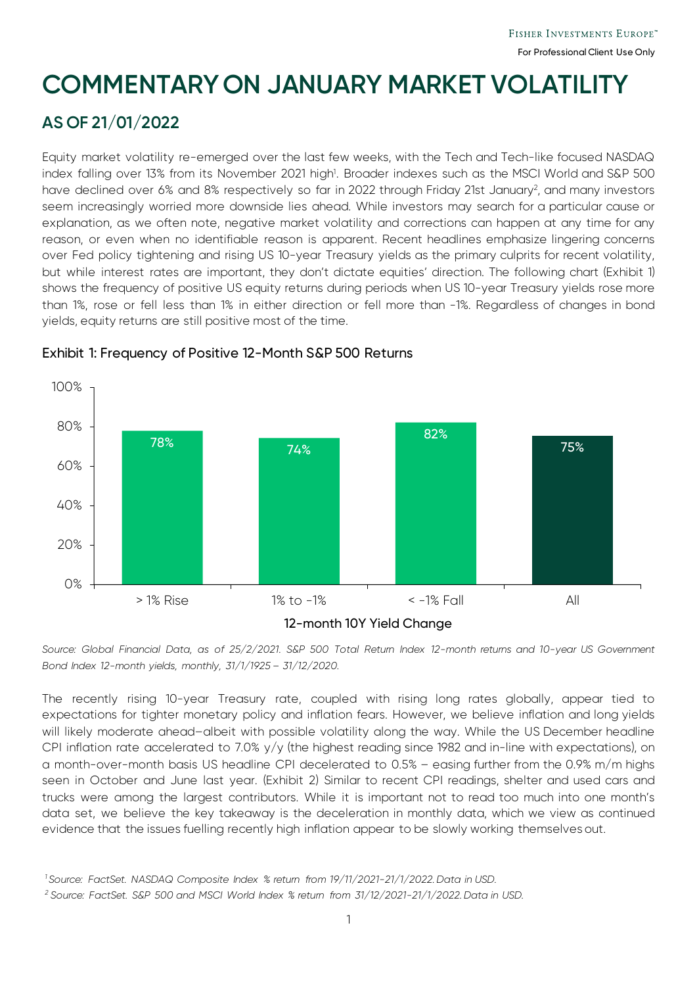# **COMMENTARY ON JANUARY MARKET VOLATILITY**

## **AS OF 21/01/2022**

Equity market volatility re-emerged over the last few weeks, with the Tech and Tech-like focused NASDAQ index falling over 13% from its November 2021 high1 . Broader indexes such as the MSCI World and S&P 500 have declined over 6% and 8% respectively so far in 2022 through Friday 21st January<sup>2</sup>, and many investors seem increasingly worried more downside lies ahead. While investors may search for a particular cause or explanation, as we often note, negative market volatility and corrections can happen at any time for any reason, or even when no identifiable reason is apparent. Recent headlines emphasize lingering concerns over Fed policy tightening and rising US 10-year Treasury yields as the primary culprits for recent volatility, but while interest rates are important, they don't dictate equities' direction. The following chart (Exhibit 1) shows the frequency of positive US equity returns during periods when US 10-year Treasury yields rose more than 1%, rose or fell less than 1% in either direction or fell more than -1%. Regardless of changes in bond yields, equity returns are still positive most of the time.



### Exhibit 1: Frequency of Positive 12-Month S&P 500 Returns

*Source: Global Financial Data, as of 25/2/2021. S&P 500 Total Return Index 12-month returns and 10-year US Government Bond Index 12-month yields, monthly, 31/1/1925 – 31/12/2020.*

The recently rising 10-year Treasury rate, coupled with rising long rates globally, appear tied to expectations for tighter monetary policy and inflation fears. However, we believe inflation and long yields will likely moderate ahead–albeit with possible volatility along the way. While the US December headline CPI inflation rate accelerated to 7.0% y/y (the highest reading since 1982 and in-line with expectations), on a month-over-month basis US headline CPI decelerated to 0.5% – easing further from the 0.9% m/m highs seen in October and June last year. (Exhibit 2) Similar to recent CPI readings, shelter and used cars and trucks were among the largest contributors. While it is important not to read too much into one month's data set, we believe the key takeaway is the deceleration in monthly data, which we view as continued evidence that the issues fuelling recently high inflation appear to be slowly working themselves out.

*<sup>1</sup> Source: FactSet. NASDAQ Composite Index % return from 19/11/2021-21/1/2022. Data in USD.* 

 *<sup>2</sup> Source: FactSet. S&P 500 and MSCI World Index % return from 31/12/2021-21/1/2022. Data in USD.*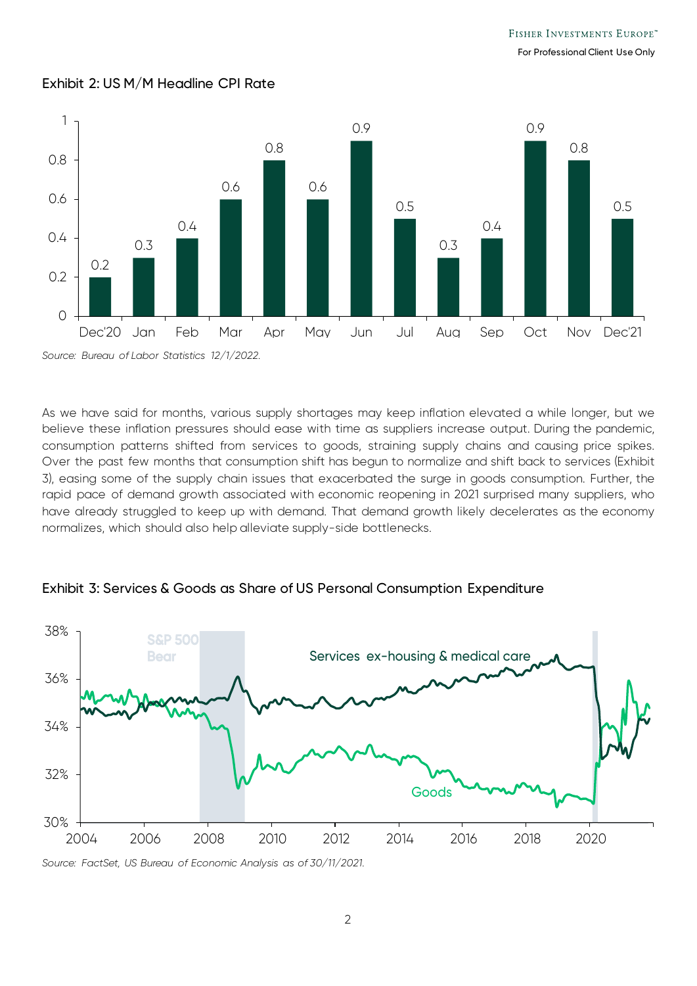For Professional Client Use Only



#### Exhibit 2: US M/M Headline CPI Rate

As we have said for months, various supply shortages may keep inflation elevated a while longer, but we believe these inflation pressures should ease with time as suppliers increase output. During the pandemic, consumption patterns shifted from services to goods, straining supply chains and causing price spikes. Over the past few months that consumption shift has begun to normalize and shift back to services (Exhibit 3), easing some of the supply chain issues that exacerbated the surge in goods consumption. Further, the rapid pace of demand growth associated with economic reopening in 2021 surprised many suppliers, who have already struggled to keep up with demand. That demand growth likely decelerates as the economy normalizes, which should also help alleviate supply-side bottlenecks.



Exhibit 3: Services & Goods as Share of US Personal Consumption Expenditure

*Source: FactSet, US Bureau of Economic Analysis as of 30/11/2021.*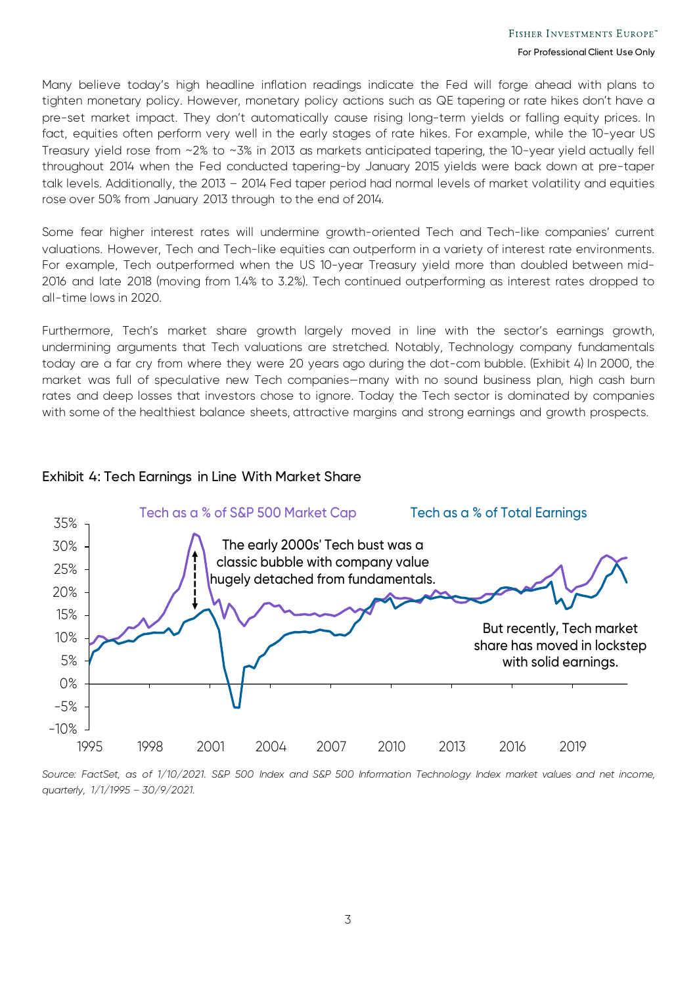Many believe today's high headline inflation readings indicate the Fed will forge ahead with plans to tighten monetary policy. However, monetary policy actions such as QE tapering or rate hikes don't have a pre-set market impact. They don't automatically cause rising long-term yields or falling equity prices. In fact, equities often perform very well in the early stages of rate hikes. For example, while the 10-year US Treasury yield rose from ~2% to ~3% in 2013 as markets anticipated tapering, the 10-year yield actually fell throughout 2014 when the Fed conducted tapering-by January 2015 yields were back down at pre-taper talk levels. Additionally, the 2013 – 2014 Fed taper period had normal levels of market volatility and equities rose over 50% from January 2013 through to the end of 2014.

Some fear higher interest rates will undermine growth-oriented Tech and Tech-like companies' current valuations. However, Tech and Tech-like equities can outperform in a variety of interest rate environments. For example, Tech outperformed when the US 10-year Treasury yield more than doubled between mid-2016 and late 2018 (moving from 1.4% to 3.2%). Tech continued outperforming as interest rates dropped to all-time lows in 2020.

Furthermore, Tech's market share growth largely moved in line with the sector's earnings growth, undermining arguments that Tech valuations are stretched. Notably, Technology company fundamentals today are a far cry from where they were 20 years ago during the dot-com bubble. (Exhibit 4) In 2000, the market was full of speculative new Tech companies—many with no sound business plan, high cash burn rates and deep losses that investors chose to ignore. Today the Tech sector is dominated by companies with some of the healthiest balance sheets, attractive margins and strong earnings and growth prospects.

Exhibit 4: Tech Earnings in Line With Market Share



*Source: FactSet, as of 1/10/2021. S&P 500 Index and S&P 500 Information Technology Index market values and net income, quarterly, 1/1/1995 – 30/9/2021.*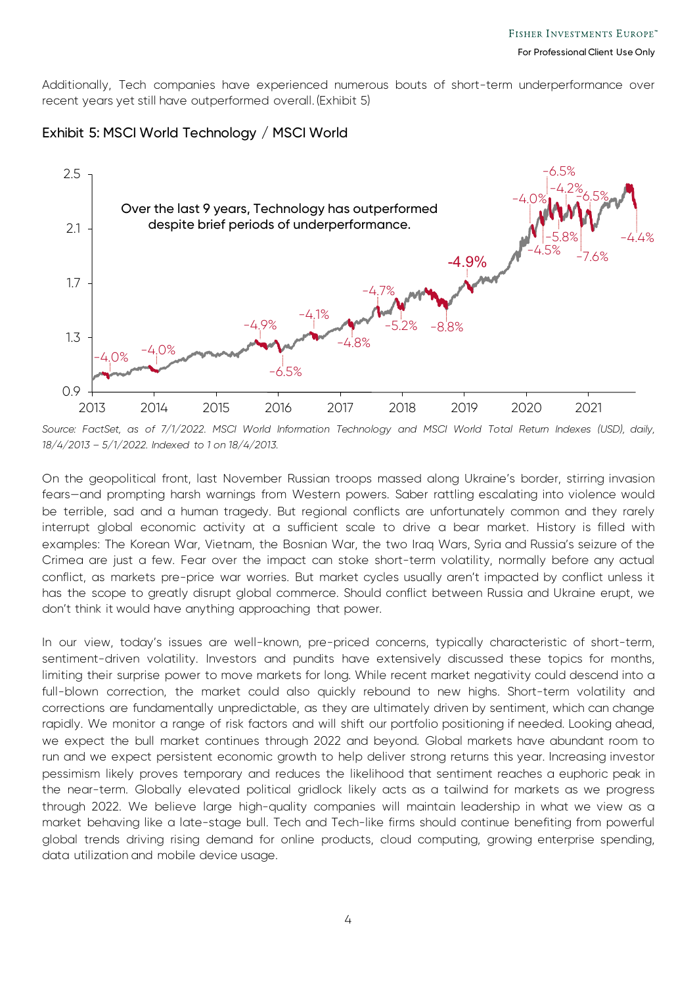Additionally, Tech companies have experienced numerous bouts of short-term underperformance over recent years yet still have outperformed overall. (Exhibit 5)

#### Exhibit 5: MSCI World Technology / MSCI World



Source: FactSet, as of 7/1/2022. MSCI World Information Technology and MSCI World Total Return Indexes (USD), daily, *18/4/2013 – 5/1/2022. Indexed to 1 on 18/4/2013.* 

On the geopolitical front, last November Russian troops massed along Ukraine's border, stirring invasion fears—and prompting harsh warnings from Western powers. Saber rattling escalating into violence would be terrible, sad and a human tragedy. But regional conflicts are unfortunately common and they rarely interrupt global economic activity at a sufficient scale to drive a bear market. History is filled with examples: The Korean War, Vietnam, the Bosnian War, the two Iraq Wars, Syria and Russia's seizure of the Crimea are just a few. Fear over the impact can stoke short-term volatility, normally before any actual conflict, as markets pre-price war worries. But market cycles usually aren't impacted by conflict unless it has the scope to greatly disrupt global commerce. Should conflict between Russia and Ukraine erupt, we don't think it would have anything approaching that power.

In our view, today's issues are well-known, pre-priced concerns, typically characteristic of short-term, sentiment-driven volatility. Investors and pundits have extensively discussed these topics for months, limiting their surprise power to move markets for long. While recent market negativity could descend into a full-blown correction, the market could also quickly rebound to new highs. Short-term volatility and corrections are fundamentally unpredictable, as they are ultimately driven by sentiment, which can change rapidly. We monitor a range of risk factors and will shift our portfolio positioning if needed. Looking ahead, we expect the bull market continues through 2022 and beyond. Global markets have abundant room to run and we expect persistent economic growth to help deliver strong returns this year. Increasing investor pessimism likely proves temporary and reduces the likelihood that sentiment reaches a euphoric peak in the near-term. Globally elevated political gridlock likely acts as a tailwind for markets as we progress through 2022. We believe large high-quality companies will maintain leadership in what we view as a market behaving like a late-stage bull. Tech and Tech-like firms should continue benefiting from powerful global trends driving rising demand for online products, cloud computing, growing enterprise spending, data utilization and mobile device usage.